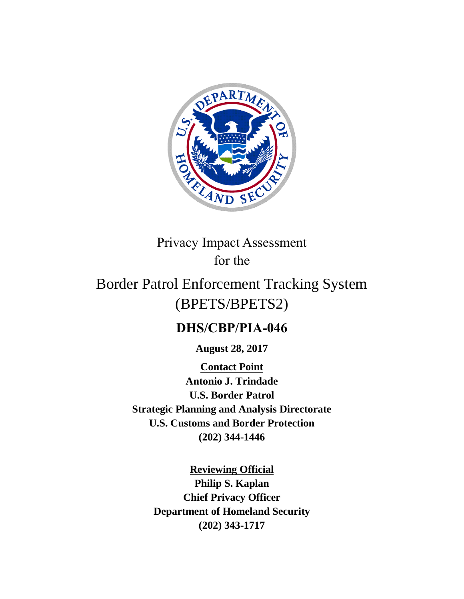

# Privacy Impact Assessment for the

# Border Patrol Enforcement Tracking System (BPETS/BPETS2)

# **DHS/CBP/PIA-046**

**August 28, 2017**

**Contact Point Antonio J. Trindade U.S. Border Patrol Strategic Planning and Analysis Directorate U.S. Customs and Border Protection (202) 344-1446**

> **Reviewing Official Philip S. Kaplan Chief Privacy Officer Department of Homeland Security (202) 343-1717**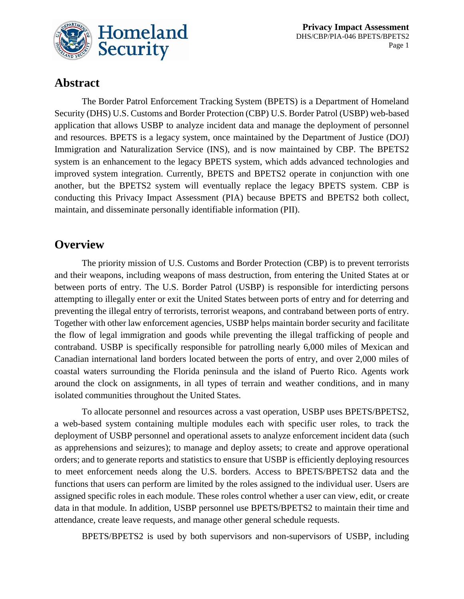

# **Abstract**

The Border Patrol Enforcement Tracking System (BPETS) is a Department of Homeland Security (DHS) U.S. Customs and Border Protection (CBP) U.S. Border Patrol (USBP) web-based application that allows USBP to analyze incident data and manage the deployment of personnel and resources. BPETS is a legacy system, once maintained by the Department of Justice (DOJ) Immigration and Naturalization Service (INS), and is now maintained by CBP. The BPETS2 system is an enhancement to the legacy BPETS system, which adds advanced technologies and improved system integration. Currently, BPETS and BPETS2 operate in conjunction with one another, but the BPETS2 system will eventually replace the legacy BPETS system. CBP is conducting this Privacy Impact Assessment (PIA) because BPETS and BPETS2 both collect, maintain, and disseminate personally identifiable information (PII).

### **Overview**

The priority mission of U.S. Customs and Border Protection (CBP) is to prevent terrorists and their weapons, including weapons of mass destruction, from entering the United States at or between ports of entry. The U.S. Border Patrol (USBP) is responsible for interdicting persons attempting to illegally enter or exit the United States between ports of entry and for deterring and preventing the illegal entry of terrorists, terrorist weapons, and contraband between ports of entry. Together with other law enforcement agencies, USBP helps maintain border security and facilitate the flow of legal immigration and goods while preventing the illegal trafficking of people and contraband. USBP is specifically responsible for patrolling nearly 6,000 miles of Mexican and Canadian international land borders located between the ports of entry, and over 2,000 miles of coastal waters surrounding the Florida peninsula and the island of Puerto Rico. Agents work around the clock on assignments, in all types of terrain and weather conditions, and in many isolated communities throughout the United States.

To allocate personnel and resources across a vast operation, USBP uses BPETS/BPETS2, a web-based system containing multiple modules each with specific user roles, to track the deployment of USBP personnel and operational assets to analyze enforcement incident data (such as apprehensions and seizures); to manage and deploy assets; to create and approve operational orders; and to generate reports and statistics to ensure that USBP is efficiently deploying resources to meet enforcement needs along the U.S. borders. Access to BPETS/BPETS2 data and the functions that users can perform are limited by the roles assigned to the individual user. Users are assigned specific roles in each module. These roles control whether a user can view, edit, or create data in that module. In addition, USBP personnel use BPETS/BPETS2 to maintain their time and attendance, create leave requests, and manage other general schedule requests.

BPETS/BPETS2 is used by both supervisors and non-supervisors of USBP, including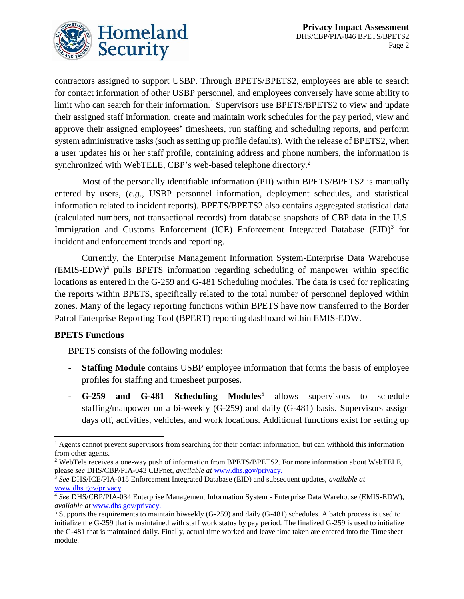

contractors assigned to support USBP. Through BPETS/BPETS2, employees are able to search for contact information of other USBP personnel, and employees conversely have some ability to limit who can search for their information.<sup>1</sup> Supervisors use BPETS/BPETS2 to view and update their assigned staff information, create and maintain work schedules for the pay period, view and approve their assigned employees' timesheets, run staffing and scheduling reports, and perform system administrative tasks (such as setting up profile defaults). With the release of BPETS2, when a user updates his or her staff profile, containing address and phone numbers, the information is synchronized with WebTELE, CBP's web-based telephone directory.<sup>2</sup>

Most of the personally identifiable information (PII) within BPETS/BPETS2 is manually entered by users, (*e.g.*, USBP personnel information, deployment schedules, and statistical information related to incident reports). BPETS/BPETS2 also contains aggregated statistical data (calculated numbers, not transactional records) from database snapshots of CBP data in the U.S. Immigration and Customs Enforcement (ICE) Enforcement Integrated Database (EID)<sup>3</sup> for incident and enforcement trends and reporting.

Currently, the Enterprise Management Information System-Enterprise Data Warehouse (EMIS-EDW) 4 pulls BPETS information regarding scheduling of manpower within specific locations as entered in the G-259 and G-481 Scheduling modules. The data is used for replicating the reports within BPETS, specifically related to the total number of personnel deployed within zones. Many of the legacy reporting functions within BPETS have now transferred to the Border Patrol Enterprise Reporting Tool (BPERT) reporting dashboard within EMIS-EDW.

#### **BPETS Functions**

BPETS consists of the following modules:

- **Staffing Module** contains USBP employee information that forms the basis of employee profiles for staffing and timesheet purposes.
- **G-259 and G-481 Scheduling Modules**<sup>5</sup> allows supervisors to schedule staffing/manpower on a bi-weekly (G-259) and daily (G-481) basis. Supervisors assign days off, activities, vehicles, and work locations. Additional functions exist for setting up

 $\overline{a}$ <sup>1</sup> Agents cannot prevent supervisors from searching for their contact information, but can withhold this information from other agents.

<sup>2</sup> WebTele receives a one-way push of information from BPETS/BPETS2. For more information about WebTELE, please *see* DHS/CBP/PIA-043 CBPnet, *available at* [www.dhs.gov/privacy.](http://www.dhs.gov/privacy)

<sup>3</sup> *See* DHS/ICE/PIA-015 Enforcement Integrated Database (EID) and subsequent updates, *available at* [www.dhs.gov/privacy.](http://www.dhs.gov/privacy)

<sup>4</sup> *See* DHS/CBP/PIA-034 Enterprise Management Information System - Enterprise Data Warehouse (EMIS-EDW), *available at* [www.dhs.gov/privacy.](http://www.dhs.gov/privacy)

<sup>5</sup> Supports the requirements to maintain biweekly (G-259) and daily (G-481) schedules. A batch process is used to initialize the G-259 that is maintained with staff work status by pay period. The finalized G-259 is used to initialize the G-481 that is maintained daily. Finally, actual time worked and leave time taken are entered into the Timesheet module.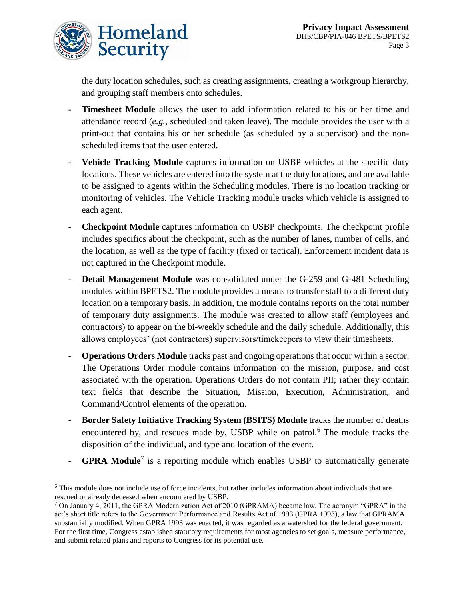

the duty location schedules, such as creating assignments, creating a workgroup hierarchy, and grouping staff members onto schedules.

- **Timesheet Module** allows the user to add information related to his or her time and attendance record (*e.g.*, scheduled and taken leave). The module provides the user with a print-out that contains his or her schedule (as scheduled by a supervisor) and the nonscheduled items that the user entered.
- Vehicle Tracking Module captures information on USBP vehicles at the specific duty locations. These vehicles are entered into the system at the duty locations, and are available to be assigned to agents within the Scheduling modules. There is no location tracking or monitoring of vehicles. The Vehicle Tracking module tracks which vehicle is assigned to each agent.
- **Checkpoint Module** captures information on USBP checkpoints. The checkpoint profile includes specifics about the checkpoint, such as the number of lanes, number of cells, and the location, as well as the type of facility (fixed or tactical). Enforcement incident data is not captured in the Checkpoint module.
- **Detail Management Module** was consolidated under the G-259 and G-481 Scheduling modules within BPETS2. The module provides a means to transfer staff to a different duty location on a temporary basis. In addition, the module contains reports on the total number of temporary duty assignments. The module was created to allow staff (employees and contractors) to appear on the bi-weekly schedule and the daily schedule. Additionally, this allows employees' (not contractors) supervisors/timekeepers to view their timesheets.
- **Operations Orders Module** tracks past and ongoing operations that occur within a sector. The Operations Order module contains information on the mission, purpose, and cost associated with the operation. Operations Orders do not contain PII; rather they contain text fields that describe the Situation, Mission, Execution, Administration, and Command/Control elements of the operation.
- **Border Safety Initiative Tracking System (BSITS) Module** tracks the number of deaths encountered by, and rescues made by, USBP while on patrol. <sup>6</sup> The module tracks the disposition of the individual, and type and location of the event.
- **GPRA Module**<sup>7</sup> is a reporting module which enables USBP to automatically generate

 $\overline{\phantom{a}}$ <sup>6</sup> This module does not include use of force incidents, but rather includes information about individuals that are rescued or already deceased when encountered by USBP.

 $7$  On January 4, 2011, the GPRA Modernization Act of 2010 (GPRAMA) became law. The acronym "GPRA" in the act's short title refers to the Government Performance and Results Act of 1993 (GPRA 1993), a law that GPRAMA substantially modified. When GPRA 1993 was enacted, it was regarded as a watershed for the federal government. For the first time, Congress established statutory requirements for most agencies to set goals, measure performance, and submit related plans and reports to Congress for its potential use.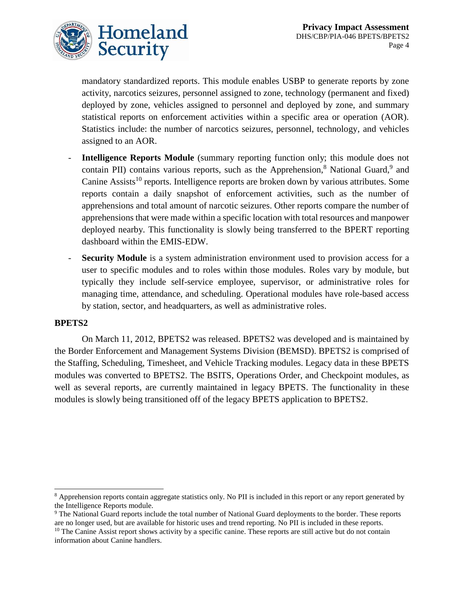

mandatory standardized reports. This module enables USBP to generate reports by zone activity, narcotics seizures, personnel assigned to zone, technology (permanent and fixed) deployed by zone, vehicles assigned to personnel and deployed by zone, and summary statistical reports on enforcement activities within a specific area or operation (AOR). Statistics include: the number of narcotics seizures, personnel, technology, and vehicles assigned to an AOR.

- **Intelligence Reports Module** (summary reporting function only; this module does not contain PII) contains various reports, such as the Apprehension,<sup>8</sup> National Guard,<sup>9</sup> and Canine Assists<sup>10</sup> reports. Intelligence reports are broken down by various attributes. Some reports contain a daily snapshot of enforcement activities, such as the number of apprehensions and total amount of narcotic seizures. Other reports compare the number of apprehensions that were made within a specific location with total resources and manpower deployed nearby. This functionality is slowly being transferred to the BPERT reporting dashboard within the EMIS-EDW.
- **Security Module** is a system administration environment used to provision access for a user to specific modules and to roles within those modules. Roles vary by module, but typically they include self-service employee, supervisor, or administrative roles for managing time, attendance, and scheduling. Operational modules have role-based access by station, sector, and headquarters, as well as administrative roles.

#### **BPETS2**

 $\overline{a}$ 

On March 11, 2012, BPETS2 was released. BPETS2 was developed and is maintained by the Border Enforcement and Management Systems Division (BEMSD). BPETS2 is comprised of the Staffing, Scheduling, Timesheet, and Vehicle Tracking modules. Legacy data in these BPETS modules was converted to BPETS2. The BSITS, Operations Order, and Checkpoint modules, as well as several reports, are currently maintained in legacy BPETS. The functionality in these modules is slowly being transitioned off of the legacy BPETS application to BPETS2.

<sup>9</sup> The National Guard reports include the total number of National Guard deployments to the border. These reports are no longer used, but are available for historic uses and trend reporting. No PII is included in these reports.  $10$  The Canine Assist report shows activity by a specific canine. These reports are still active but do not contain information about Canine handlers.

<sup>&</sup>lt;sup>8</sup> Apprehension reports contain aggregate statistics only. No PII is included in this report or any report generated by the Intelligence Reports module.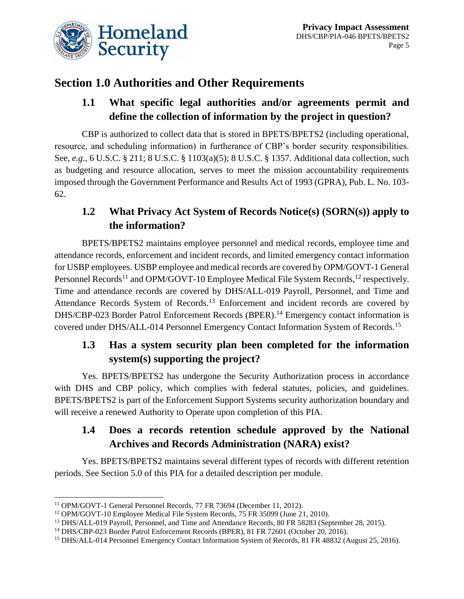

# **Section 1.0 Authorities and Other Requirements**

### **1.1 What specific legal authorities and/or agreements permit and define the collection of information by the project in question?**

CBP is authorized to collect data that is stored in BPETS/BPETS2 (including operational, resource, and scheduling information) in furtherance of CBP's border security responsibilities. See, *e.g.*, 6 U.S.C. § 211; 8 U.S.C. § 1103(a)(5); 8 U.S.C. § 1357. Additional data collection, such as budgeting and resource allocation, serves to meet the mission accountability requirements imposed through the Government Performance and Results Act of 1993 (GPRA), Pub. L. No. 103- 62.

# **1.2 What Privacy Act System of Records Notice(s) (SORN(s)) apply to the information?**

BPETS/BPETS2 maintains employee personnel and medical records, employee time and attendance records, enforcement and incident records, and limited emergency contact information for USBP employees. USBP employee and medical records are covered by OPM/GOVT-1 General Personnel Records<sup>11</sup> and OPM/GOVT-10 Employee Medical File System Records, <sup>12</sup> respectively. Time and attendance records are covered by DHS/ALL-019 Payroll, Personnel, and Time and Attendance Records System of Records.<sup>13</sup> Enforcement and incident records are covered by DHS/CBP-023 Border Patrol Enforcement Records (BPER).<sup>14</sup> Emergency contact information is covered under DHS/ALL-014 Personnel Emergency Contact Information System of Records.<sup>15</sup>

# **1.3 Has a system security plan been completed for the information system(s) supporting the project?**

Yes. BPETS/BPETS2 has undergone the Security Authorization process in accordance with DHS and CBP policy, which complies with federal statutes, policies, and guidelines. BPETS/BPETS2 is part of the Enforcement Support Systems security authorization boundary and will receive a renewed Authority to Operate upon completion of this PIA.

# **1.4 Does a records retention schedule approved by the National Archives and Records Administration (NARA) exist?**

Yes. BPETS/BPETS2 maintains several different types of records with different retention periods. See Section 5.0 of this PIA for a detailed description per module.

 $\overline{\phantom{a}}$ 

<sup>11</sup> OPM/GOVT-1 General Personnel Records, 77 FR 73694 (December 11, 2012).

<sup>&</sup>lt;sup>12</sup> OPM/GOVT-10 Employee Medical File System Records, 75 FR 35099 (June 21, 2010).

<sup>&</sup>lt;sup>13</sup> DHS/ALL-019 Payroll, Personnel, and Time and Attendance Records, 80 FR 58283 (September 28, 2015).

<sup>14</sup> DHS/CBP-023 Border Patrol Enforcement Records (BPER), 81 FR 72601 (October 20, 2016).

<sup>&</sup>lt;sup>15</sup> DHS/ALL-014 Personnel Emergency Contact Information System of Records, 81 FR 48832 (August 25, 2016).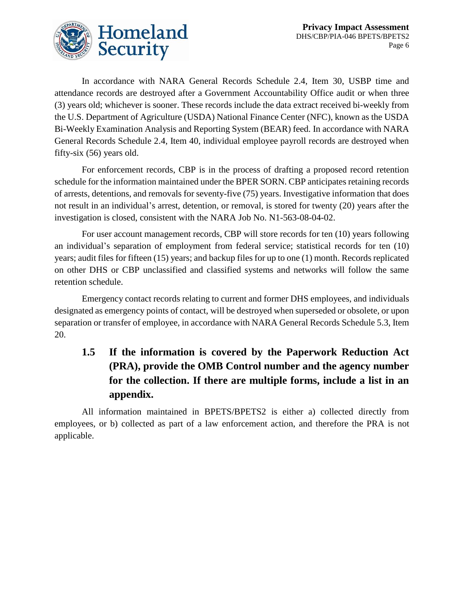

In accordance with NARA General Records Schedule 2.4, Item 30, USBP time and attendance records are destroyed after a Government Accountability Office audit or when three (3) years old; whichever is sooner. These records include the data extract received bi-weekly from the U.S. Department of Agriculture (USDA) National Finance Center (NFC), known as the USDA Bi-Weekly Examination Analysis and Reporting System (BEAR) feed. In accordance with NARA General Records Schedule 2.4, Item 40, individual employee payroll records are destroyed when fifty-six (56) years old.

For enforcement records, CBP is in the process of drafting a proposed record retention schedule for the information maintained under the BPER SORN. CBP anticipates retaining records of arrests, detentions, and removals for seventy-five (75) years. Investigative information that does not result in an individual's arrest, detention, or removal, is stored for twenty (20) years after the investigation is closed, consistent with the NARA Job No. N1-563-08-04-02.

For user account management records, CBP will store records for ten (10) years following an individual's separation of employment from federal service; statistical records for ten (10) years; audit files for fifteen (15) years; and backup files for up to one (1) month. Records replicated on other DHS or CBP unclassified and classified systems and networks will follow the same retention schedule.

Emergency contact records relating to current and former DHS employees, and individuals designated as emergency points of contact, will be destroyed when superseded or obsolete, or upon separation or transfer of employee, in accordance with NARA General Records Schedule 5.3, Item 20.

# **1.5 If the information is covered by the Paperwork Reduction Act (PRA), provide the OMB Control number and the agency number for the collection. If there are multiple forms, include a list in an appendix.**

All information maintained in BPETS/BPETS2 is either a) collected directly from employees, or b) collected as part of a law enforcement action, and therefore the PRA is not applicable.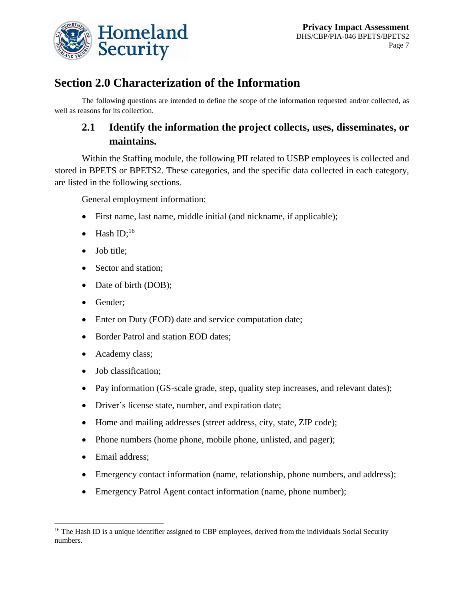

# **Section 2.0 Characterization of the Information**

The following questions are intended to define the scope of the information requested and/or collected, as well as reasons for its collection.

## **2.1 Identify the information the project collects, uses, disseminates, or maintains.**

Within the Staffing module, the following PII related to USBP employees is collected and stored in BPETS or BPETS2. These categories, and the specific data collected in each category, are listed in the following sections.

General employment information:

- First name, last name, middle initial (and nickname, if applicable);
- $\bullet$  Hash ID;<sup>16</sup>
- Job title;
- Sector and station;
- Date of birth (DOB);
- Gender;
- Enter on Duty (EOD) date and service computation date;
- Border Patrol and station EOD dates;
- Academy class;
- Job classification;
- Pay information (GS-scale grade, step, quality step increases, and relevant dates);
- Driver's license state, number, and expiration date;
- Home and mailing addresses (street address, city, state, ZIP code);
- Phone numbers (home phone, mobile phone, unlisted, and pager);
- Email address;
- Emergency contact information (name, relationship, phone numbers, and address);
- Emergency Patrol Agent contact information (name, phone number);

 $\overline{a}$ <sup>16</sup> The Hash ID is a unique identifier assigned to CBP employees, derived from the individuals Social Security numbers.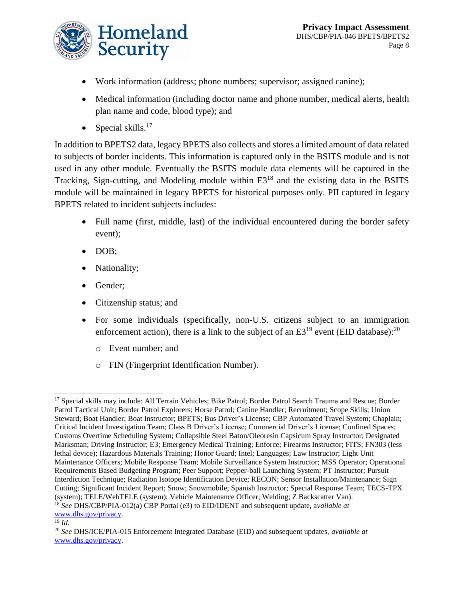

- Work information (address; phone numbers; supervisor; assigned canine);
- Medical information (including doctor name and phone number, medical alerts, health plan name and code, blood type); and
- Special skills. $17$

In addition to BPETS2 data, legacy BPETS also collects and stores a limited amount of data related to subjects of border incidents. This information is captured only in the BSITS module and is not used in any other module. Eventually the BSITS module data elements will be captured in the Tracking, Sign-cutting, and Modeling module within E3<sup>18</sup> and the existing data in the BSITS module will be maintained in legacy BPETS for historical purposes only. PII captured in legacy BPETS related to incident subjects includes:

- Full name (first, middle, last) of the individual encountered during the border safety event);
- $\bullet$  DOB;
- Nationality;
- Gender;
- Citizenship status; and
- For some individuals (specifically, non-U.S. citizens subject to an immigration enforcement action), there is a link to the subject of an  $E3^{19}$  event (EID database):<sup>20</sup>
	- o Event number; and
	- o FIN (Fingerprint Identification Number).

 $\overline{\phantom{a}}$ <sup>17</sup> Special skills may include: All Terrain Vehicles; Bike Patrol; Border Patrol Search Trauma and Rescue; Border Patrol Tactical Unit; Border Patrol Explorers; Horse Patrol; Canine Handler; Recruitment; Scope Skills; Union Steward; Boat Handler; Boat Instructor; BPETS; Bus Driver's License; CBP Automated Travel System; Chaplain; Critical Incident Investigation Team; Class B Driver's License; Commercial Driver's License; Confined Spaces; Customs Overtime Scheduling System; Collapsible Steel Baton/Oleoresin Capsicum Spray Instructor; Designated Marksman; Driving Instructor; E3; Emergency Medical Training; Enforce; Firearms Instructor; FITS; FN303 (less lethal device); Hazardous Materials Training; Honor Guard; Intel; Languages; Law Instructor; Light Unit Maintenance Officers; Mobile Response Team; Mobile Surveillance System Instructor; MSS Operator; Operational Requirements Based Budgeting Program; Peer Support; Pepper-ball Launching System; PT Instructor; Pursuit Interdiction Technique; Radiation Isotope Identification Device; RECON; Sensor Installation/Maintenance; Sign Cutting; Significant Incident Report; Snow; Snowmobile; Spanish Instructor; Special Response Team; TECS-TPX (system); TELE/WebTELE (system); Vehicle Maintenance Officer; Welding; Z Backscatter Van). <sup>18</sup> *See* DHS/CBP/PIA-012(a) CBP Portal (e3) to EID/IDENT and subsequent update, a*vailable at*  [www.dhs.gov/privacy.](http://www.dhs.gov/privacy)

 $\overline{^{19}}$  *Id.* 

<sup>20</sup> *See* DHS/ICE/PIA-015 Enforcement Integrated Database (EID) and subsequent updates, *available at* [www.dhs.gov/privacy.](http://www.dhs.gov/privacy)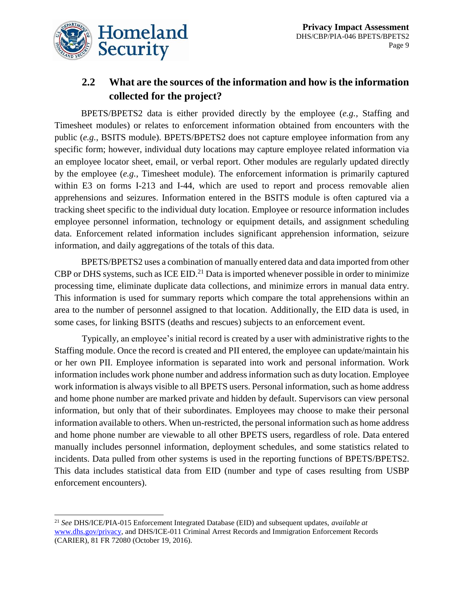

l

### **2.2 What are the sources of the information and how is the information collected for the project?**

BPETS/BPETS2 data is either provided directly by the employee (*e.g.*, Staffing and Timesheet modules) or relates to enforcement information obtained from encounters with the public (*e.g.*, BSITS module). BPETS/BPETS2 does not capture employee information from any specific form; however, individual duty locations may capture employee related information via an employee locator sheet, email, or verbal report. Other modules are regularly updated directly by the employee (*e.g.*, Timesheet module). The enforcement information is primarily captured within E3 on forms I-213 and I-44, which are used to report and process removable alien apprehensions and seizures. Information entered in the BSITS module is often captured via a tracking sheet specific to the individual duty location. Employee or resource information includes employee personnel information, technology or equipment details, and assignment scheduling data. Enforcement related information includes significant apprehension information, seizure information, and daily aggregations of the totals of this data.

BPETS/BPETS2 uses a combination of manually entered data and data imported from other CBP or DHS systems, such as ICE EID.<sup>21</sup> Data is imported whenever possible in order to minimize processing time, eliminate duplicate data collections, and minimize errors in manual data entry. This information is used for summary reports which compare the total apprehensions within an area to the number of personnel assigned to that location. Additionally, the EID data is used, in some cases, for linking BSITS (deaths and rescues) subjects to an enforcement event.

Typically, an employee's initial record is created by a user with administrative rights to the Staffing module. Once the record is created and PII entered, the employee can update/maintain his or her own PII. Employee information is separated into work and personal information. Work information includes work phone number and address information such as duty location. Employee work information is always visible to all BPETS users. Personal information, such as home address and home phone number are marked private and hidden by default. Supervisors can view personal information, but only that of their subordinates. Employees may choose to make their personal information available to others. When un-restricted, the personal information such as home address and home phone number are viewable to all other BPETS users, regardless of role. Data entered manually includes personnel information, deployment schedules, and some statistics related to incidents. Data pulled from other systems is used in the reporting functions of BPETS/BPETS2. This data includes statistical data from EID (number and type of cases resulting from USBP enforcement encounters).

<sup>21</sup> *See* DHS/ICE/PIA-015 Enforcement Integrated Database (EID) and subsequent updates, *available at*  [www.dhs.gov/privacy,](http://www.dhs.gov/privacy) and DHS/ICE-011 Criminal Arrest Records and Immigration Enforcement Records (CARIER), 81 FR 72080 (October 19, 2016).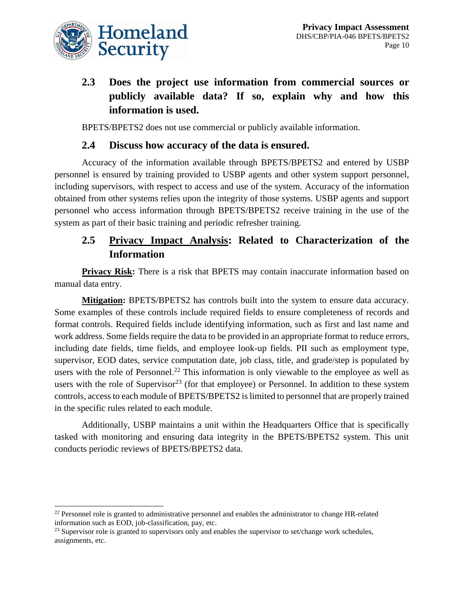

 $\overline{\phantom{a}}$ 

# **2.3 Does the project use information from commercial sources or publicly available data? If so, explain why and how this information is used.**

BPETS/BPETS2 does not use commercial or publicly available information.

#### **2.4 Discuss how accuracy of the data is ensured.**

Accuracy of the information available through BPETS/BPETS2 and entered by USBP personnel is ensured by training provided to USBP agents and other system support personnel, including supervisors, with respect to access and use of the system. Accuracy of the information obtained from other systems relies upon the integrity of those systems. USBP agents and support personnel who access information through BPETS/BPETS2 receive training in the use of the system as part of their basic training and periodic refresher training.

### **2.5 Privacy Impact Analysis: Related to Characterization of the Information**

**Privacy Risk:** There is a risk that BPETS may contain inaccurate information based on manual data entry.

**Mitigation:** BPETS/BPETS2 has controls built into the system to ensure data accuracy. Some examples of these controls include required fields to ensure completeness of records and format controls. Required fields include identifying information, such as first and last name and work address. Some fields require the data to be provided in an appropriate format to reduce errors, including date fields, time fields, and employee look-up fields. PII such as employment type, supervisor, EOD dates, service computation date, job class, title, and grade/step is populated by users with the role of Personnel.<sup>22</sup> This information is only viewable to the employee as well as users with the role of Supervisor<sup>23</sup> (for that employee) or Personnel. In addition to these system controls, access to each module of BPETS/BPETS2 is limited to personnel that are properly trained in the specific rules related to each module.

Additionally, USBP maintains a unit within the Headquarters Office that is specifically tasked with monitoring and ensuring data integrity in the BPETS/BPETS2 system. This unit conducts periodic reviews of BPETS/BPETS2 data.

 $22$  Personnel role is granted to administrative personnel and enables the administrator to change HR-related information such as EOD, job-classification, pay, etc.

 $^{23}$  Supervisor role is granted to supervisors only and enables the supervisor to set/change work schedules, assignments, etc.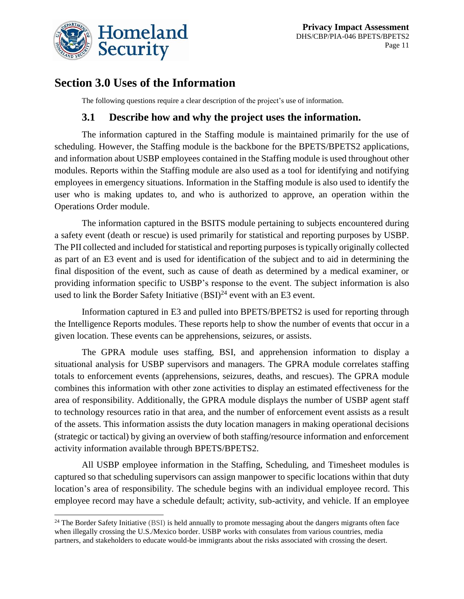

# **Section 3.0 Uses of the Information**

The following questions require a clear description of the project's use of information.

#### **3.1 Describe how and why the project uses the information.**

The information captured in the Staffing module is maintained primarily for the use of scheduling. However, the Staffing module is the backbone for the BPETS/BPETS2 applications, and information about USBP employees contained in the Staffing module is used throughout other modules. Reports within the Staffing module are also used as a tool for identifying and notifying employees in emergency situations. Information in the Staffing module is also used to identify the user who is making updates to, and who is authorized to approve, an operation within the Operations Order module.

The information captured in the BSITS module pertaining to subjects encountered during a safety event (death or rescue) is used primarily for statistical and reporting purposes by USBP. The PII collected and included for statistical and reporting purposes istypically originally collected as part of an E3 event and is used for identification of the subject and to aid in determining the final disposition of the event, such as cause of death as determined by a medical examiner, or providing information specific to USBP's response to the event. The subject information is also used to link the Border Safety Initiative  $(BSI)^{24}$  event with an E3 event.

Information captured in E3 and pulled into BPETS/BPETS2 is used for reporting through the Intelligence Reports modules. These reports help to show the number of events that occur in a given location. These events can be apprehensions, seizures, or assists.

The GPRA module uses staffing, BSI, and apprehension information to display a situational analysis for USBP supervisors and managers. The GPRA module correlates staffing totals to enforcement events (apprehensions, seizures, deaths, and rescues). The GPRA module combines this information with other zone activities to display an estimated effectiveness for the area of responsibility. Additionally, the GPRA module displays the number of USBP agent staff to technology resources ratio in that area, and the number of enforcement event assists as a result of the assets. This information assists the duty location managers in making operational decisions (strategic or tactical) by giving an overview of both staffing/resource information and enforcement activity information available through BPETS/BPETS2.

All USBP employee information in the Staffing, Scheduling, and Timesheet modules is captured so that scheduling supervisors can assign manpower to specific locations within that duty location's area of responsibility. The schedule begins with an individual employee record. This employee record may have a schedule default; activity, sub-activity, and vehicle. If an employee

l  $24$  The Border Safety Initiative (BSI) is held annually to promote messaging about the dangers migrants often face when illegally crossing the U.S./Mexico border. USBP works with consulates from various countries, media partners, and stakeholders to educate would-be immigrants about the risks associated with crossing the desert.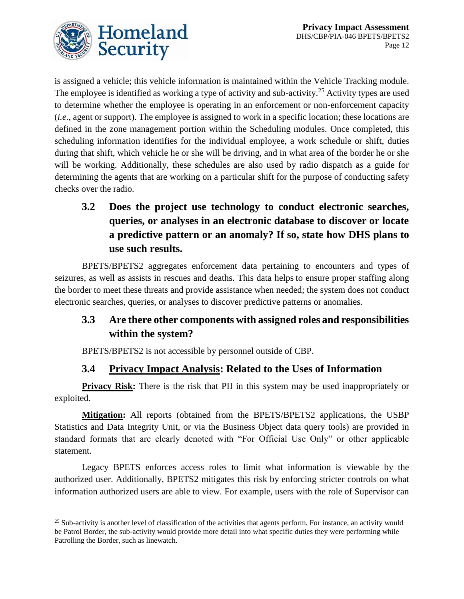

is assigned a vehicle; this vehicle information is maintained within the Vehicle Tracking module. The employee is identified as working a type of activity and sub-activity.<sup>25</sup> Activity types are used to determine whether the employee is operating in an enforcement or non-enforcement capacity (*i.e.*, agent or support). The employee is assigned to work in a specific location; these locations are defined in the zone management portion within the Scheduling modules. Once completed, this scheduling information identifies for the individual employee, a work schedule or shift, duties during that shift, which vehicle he or she will be driving, and in what area of the border he or she will be working. Additionally, these schedules are also used by radio dispatch as a guide for determining the agents that are working on a particular shift for the purpose of conducting safety checks over the radio.

**3.2 Does the project use technology to conduct electronic searches, queries, or analyses in an electronic database to discover or locate a predictive pattern or an anomaly? If so, state how DHS plans to use such results.**

BPETS/BPETS2 aggregates enforcement data pertaining to encounters and types of seizures, as well as assists in rescues and deaths. This data helps to ensure proper staffing along the border to meet these threats and provide assistance when needed; the system does not conduct electronic searches, queries, or analyses to discover predictive patterns or anomalies.

### **3.3 Are there other components with assigned roles and responsibilities within the system?**

BPETS/BPETS2 is not accessible by personnel outside of CBP.

### **3.4 Privacy Impact Analysis: Related to the Uses of Information**

**Privacy Risk:** There is the risk that PII in this system may be used inappropriately or exploited.

**Mitigation:** All reports (obtained from the BPETS/BPETS2 applications, the USBP Statistics and Data Integrity Unit, or via the Business Object data query tools) are provided in standard formats that are clearly denoted with "For Official Use Only" or other applicable statement.

Legacy BPETS enforces access roles to limit what information is viewable by the authorized user. Additionally, BPETS2 mitigates this risk by enforcing stricter controls on what information authorized users are able to view. For example, users with the role of Supervisor can

l  $25$  Sub-activity is another level of classification of the activities that agents perform. For instance, an activity would be Patrol Border, the sub-activity would provide more detail into what specific duties they were performing while Patrolling the Border, such as linewatch.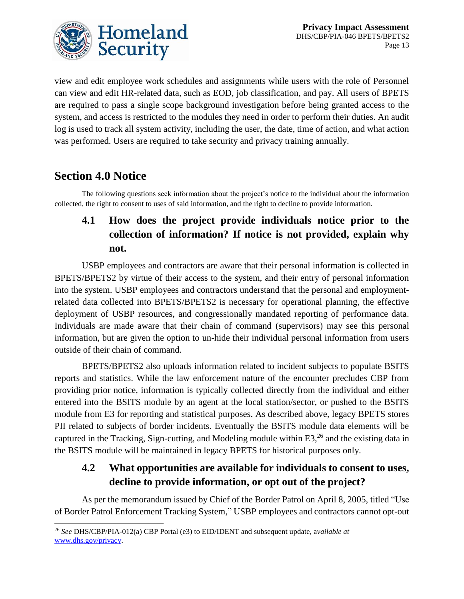

view and edit employee work schedules and assignments while users with the role of Personnel can view and edit HR-related data, such as EOD, job classification, and pay. All users of BPETS are required to pass a single scope background investigation before being granted access to the system, and access is restricted to the modules they need in order to perform their duties. An audit log is used to track all system activity, including the user, the date, time of action, and what action was performed. Users are required to take security and privacy training annually.

# **Section 4.0 Notice**

 $\overline{a}$ 

The following questions seek information about the project's notice to the individual about the information collected, the right to consent to uses of said information, and the right to decline to provide information.

# **4.1 How does the project provide individuals notice prior to the collection of information? If notice is not provided, explain why not.**

USBP employees and contractors are aware that their personal information is collected in BPETS/BPETS2 by virtue of their access to the system, and their entry of personal information into the system. USBP employees and contractors understand that the personal and employmentrelated data collected into BPETS/BPETS2 is necessary for operational planning, the effective deployment of USBP resources, and congressionally mandated reporting of performance data. Individuals are made aware that their chain of command (supervisors) may see this personal information, but are given the option to un-hide their individual personal information from users outside of their chain of command.

BPETS/BPETS2 also uploads information related to incident subjects to populate BSITS reports and statistics. While the law enforcement nature of the encounter precludes CBP from providing prior notice, information is typically collected directly from the individual and either entered into the BSITS module by an agent at the local station/sector, or pushed to the BSITS module from E3 for reporting and statistical purposes. As described above, legacy BPETS stores PII related to subjects of border incidents. Eventually the BSITS module data elements will be captured in the Tracking, Sign-cutting, and Modeling module within  $E3$ ,  $26$  and the existing data in the BSITS module will be maintained in legacy BPETS for historical purposes only.

### **4.2 What opportunities are available for individuals to consent to uses, decline to provide information, or opt out of the project?**

As per the memorandum issued by Chief of the Border Patrol on April 8, 2005, titled "Use of Border Patrol Enforcement Tracking System," USBP employees and contractors cannot opt-out

<sup>26</sup> *See* DHS/CBP/PIA-012(a) CBP Portal (e3) to EID/IDENT and subsequent update, a*vailable at*  [www.dhs.gov/privacy.](http://www.dhs.gov/privacy)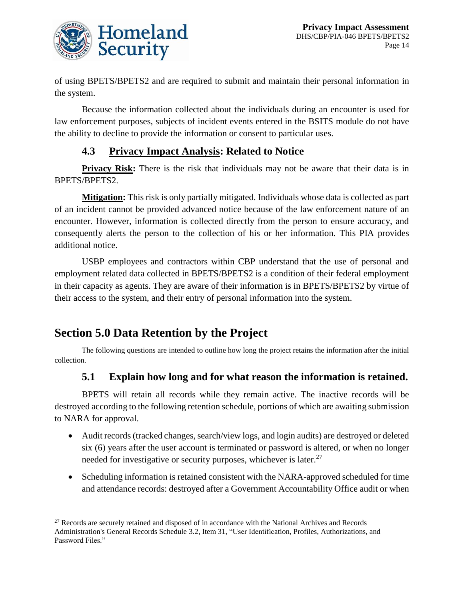

of using BPETS/BPETS2 and are required to submit and maintain their personal information in the system.

Because the information collected about the individuals during an encounter is used for law enforcement purposes, subjects of incident events entered in the BSITS module do not have the ability to decline to provide the information or consent to particular uses.

#### **4.3 Privacy Impact Analysis: Related to Notice**

**Privacy Risk:** There is the risk that individuals may not be aware that their data is in BPETS/BPETS2.

**Mitigation:** This risk is only partially mitigated. Individuals whose data is collected as part of an incident cannot be provided advanced notice because of the law enforcement nature of an encounter. However, information is collected directly from the person to ensure accuracy, and consequently alerts the person to the collection of his or her information. This PIA provides additional notice.

USBP employees and contractors within CBP understand that the use of personal and employment related data collected in BPETS/BPETS2 is a condition of their federal employment in their capacity as agents. They are aware of their information is in BPETS/BPETS2 by virtue of their access to the system, and their entry of personal information into the system.

# **Section 5.0 Data Retention by the Project**

The following questions are intended to outline how long the project retains the information after the initial collection.

### **5.1 Explain how long and for what reason the information is retained.**

BPETS will retain all records while they remain active. The inactive records will be destroyed according to the following retention schedule, portions of which are awaiting submission to NARA for approval.

- Audit records (tracked changes, search/view logs, and login audits) are destroyed or deleted six (6) years after the user account is terminated or password is altered, or when no longer needed for investigative or security purposes, whichever is later. $27$
- Scheduling information is retained consistent with the NARA-approved scheduled for time and attendance records: destroyed after a Government Accountability Office audit or when

l <sup>27</sup> Records are securely retained and disposed of in accordance with the National Archives and Records Administration's General Records Schedule 3.2, Item 31, "User Identification, Profiles, Authorizations, and Password Files."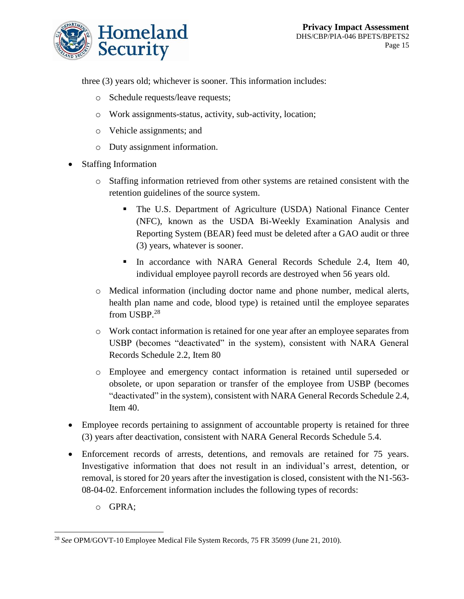

three (3) years old; whichever is sooner. This information includes:

- o Schedule requests/leave requests;
- o Work assignments-status, activity, sub-activity, location;
- o Vehicle assignments; and
- o Duty assignment information.
- Staffing Information
	- o Staffing information retrieved from other systems are retained consistent with the retention guidelines of the source system.
		- The U.S. Department of Agriculture (USDA) National Finance Center (NFC), known as the USDA Bi-Weekly Examination Analysis and Reporting System (BEAR) feed must be deleted after a GAO audit or three (3) years, whatever is sooner.
		- In accordance with NARA General Records Schedule 2.4, Item 40, individual employee payroll records are destroyed when 56 years old.
	- o Medical information (including doctor name and phone number, medical alerts, health plan name and code, blood type) is retained until the employee separates from USBP.<sup>28</sup>
	- o Work contact information is retained for one year after an employee separates from USBP (becomes "deactivated" in the system), consistent with NARA General Records Schedule 2.2, Item 80
	- o Employee and emergency contact information is retained until superseded or obsolete, or upon separation or transfer of the employee from USBP (becomes "deactivated" in the system), consistent with NARA General Records Schedule 2.4, Item 40.
- Employee records pertaining to assignment of accountable property is retained for three (3) years after deactivation, consistent with NARA General Records Schedule 5.4.
- Enforcement records of arrests, detentions, and removals are retained for 75 years. Investigative information that does not result in an individual's arrest, detention, or removal, is stored for 20 years after the investigation is closed, consistent with the N1-563- 08-04-02. Enforcement information includes the following types of records:
	- o GPRA;

l <sup>28</sup> *See* OPM/GOVT-10 Employee Medical File System Records, 75 FR 35099 (June 21, 2010).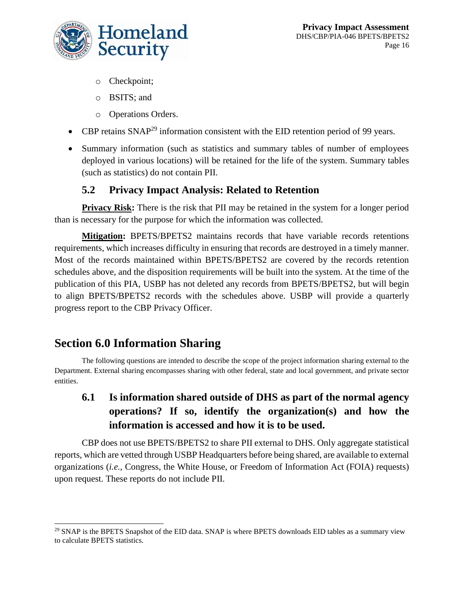

- o Checkpoint;
- o BSITS; and
- o Operations Orders.
- CBP retains SNAP<sup>29</sup> information consistent with the EID retention period of 99 years.
- Summary information (such as statistics and summary tables of number of employees deployed in various locations) will be retained for the life of the system. Summary tables (such as statistics) do not contain PII.

#### **5.2 Privacy Impact Analysis: Related to Retention**

**Privacy Risk:** There is the risk that PII may be retained in the system for a longer period than is necessary for the purpose for which the information was collected.

**Mitigation:** BPETS/BPETS2 maintains records that have variable records retentions requirements, which increases difficulty in ensuring that records are destroyed in a timely manner. Most of the records maintained within BPETS/BPETS2 are covered by the records retention schedules above, and the disposition requirements will be built into the system. At the time of the publication of this PIA, USBP has not deleted any records from BPETS/BPETS2, but will begin to align BPETS/BPETS2 records with the schedules above. USBP will provide a quarterly progress report to the CBP Privacy Officer.

# **Section 6.0 Information Sharing**

The following questions are intended to describe the scope of the project information sharing external to the Department. External sharing encompasses sharing with other federal, state and local government, and private sector entities.

# **6.1 Is information shared outside of DHS as part of the normal agency operations? If so, identify the organization(s) and how the information is accessed and how it is to be used.**

CBP does not use BPETS/BPETS2 to share PII external to DHS. Only aggregate statistical reports, which are vetted through USBP Headquarters before being shared, are available to external organizations (*i.e.*, Congress, the White House, or Freedom of Information Act (FOIA) requests) upon request. These reports do not include PII.

 $\overline{a}$  $^{29}$  SNAP is the BPETS Snapshot of the EID data. SNAP is where BPETS downloads EID tables as a summary view to calculate BPETS statistics.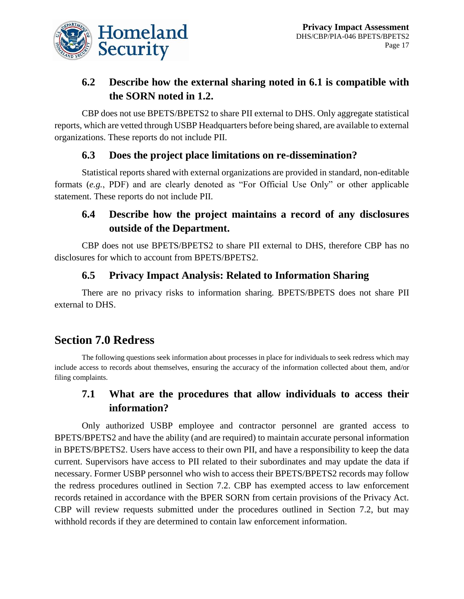

### **6.2 Describe how the external sharing noted in 6.1 is compatible with the SORN noted in 1.2.**

CBP does not use BPETS/BPETS2 to share PII external to DHS. Only aggregate statistical reports, which are vetted through USBP Headquarters before being shared, are available to external organizations. These reports do not include PII.

### **6.3 Does the project place limitations on re-dissemination?**

Statistical reports shared with external organizations are provided in standard, non-editable formats (*e.g.*, PDF) and are clearly denoted as "For Official Use Only" or other applicable statement. These reports do not include PII.

## **6.4 Describe how the project maintains a record of any disclosures outside of the Department.**

CBP does not use BPETS/BPETS2 to share PII external to DHS, therefore CBP has no disclosures for which to account from BPETS/BPETS2.

### **6.5 Privacy Impact Analysis: Related to Information Sharing**

There are no privacy risks to information sharing. BPETS/BPETS does not share PII external to DHS.

# **Section 7.0 Redress**

The following questions seek information about processes in place for individuals to seek redress which may include access to records about themselves, ensuring the accuracy of the information collected about them, and/or filing complaints.

### **7.1 What are the procedures that allow individuals to access their information?**

Only authorized USBP employee and contractor personnel are granted access to BPETS/BPETS2 and have the ability (and are required) to maintain accurate personal information in BPETS/BPETS2. Users have access to their own PII, and have a responsibility to keep the data current. Supervisors have access to PII related to their subordinates and may update the data if necessary. Former USBP personnel who wish to access their BPETS/BPETS2 records may follow the redress procedures outlined in Section 7.2. CBP has exempted access to law enforcement records retained in accordance with the BPER SORN from certain provisions of the Privacy Act. CBP will review requests submitted under the procedures outlined in Section 7.2, but may withhold records if they are determined to contain law enforcement information.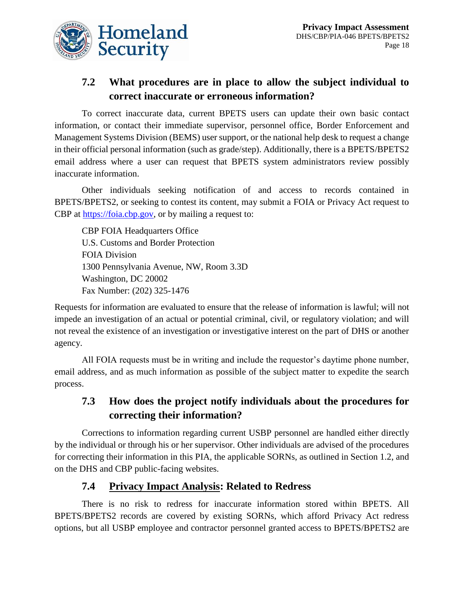

### **7.2 What procedures are in place to allow the subject individual to correct inaccurate or erroneous information?**

To correct inaccurate data, current BPETS users can update their own basic contact information, or contact their immediate supervisor, personnel office, Border Enforcement and Management Systems Division (BEMS) user support, or the national help desk to request a change in their official personal information (such as grade/step). Additionally, there is a BPETS/BPETS2 email address where a user can request that BPETS system administrators review possibly inaccurate information.

Other individuals seeking notification of and access to records contained in BPETS/BPETS2, or seeking to contest its content, may submit a FOIA or Privacy Act request to CBP at [https://foia.cbp.gov,](https://foia.cbp.gov/) or by mailing a request to:

CBP FOIA Headquarters Office U.S. Customs and Border Protection FOIA Division 1300 Pennsylvania Avenue, NW, Room 3.3D Washington, DC 20002 Fax Number: (202) 325-1476

Requests for information are evaluated to ensure that the release of information is lawful; will not impede an investigation of an actual or potential criminal, civil, or regulatory violation; and will not reveal the existence of an investigation or investigative interest on the part of DHS or another agency.

All FOIA requests must be in writing and include the requestor's daytime phone number, email address, and as much information as possible of the subject matter to expedite the search process.

### **7.3 How does the project notify individuals about the procedures for correcting their information?**

Corrections to information regarding current USBP personnel are handled either directly by the individual or through his or her supervisor. Other individuals are advised of the procedures for correcting their information in this PIA, the applicable SORNs, as outlined in Section 1.2, and on the DHS and CBP public-facing websites.

#### **7.4 Privacy Impact Analysis: Related to Redress**

There is no risk to redress for inaccurate information stored within BPETS. All BPETS/BPETS2 records are covered by existing SORNs, which afford Privacy Act redress options, but all USBP employee and contractor personnel granted access to BPETS/BPETS2 are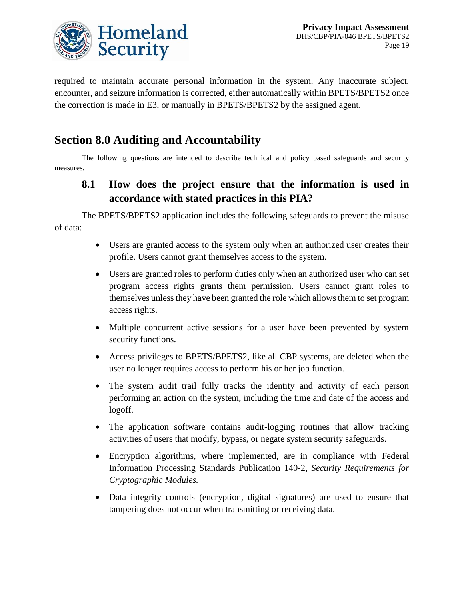

required to maintain accurate personal information in the system. Any inaccurate subject, encounter, and seizure information is corrected, either automatically within BPETS/BPETS2 once the correction is made in E3, or manually in BPETS/BPETS2 by the assigned agent.

# **Section 8.0 Auditing and Accountability**

The following questions are intended to describe technical and policy based safeguards and security measures.

### **8.1 How does the project ensure that the information is used in accordance with stated practices in this PIA?**

The BPETS/BPETS2 application includes the following safeguards to prevent the misuse of data:

- Users are granted access to the system only when an authorized user creates their profile. Users cannot grant themselves access to the system.
- Users are granted roles to perform duties only when an authorized user who can set program access rights grants them permission. Users cannot grant roles to themselves unless they have been granted the role which allows them to set program access rights.
- Multiple concurrent active sessions for a user have been prevented by system security functions.
- Access privileges to BPETS/BPETS2, like all CBP systems, are deleted when the user no longer requires access to perform his or her job function.
- The system audit trail fully tracks the identity and activity of each person performing an action on the system, including the time and date of the access and logoff.
- The application software contains audit-logging routines that allow tracking activities of users that modify, bypass, or negate system security safeguards.
- Encryption algorithms, where implemented, are in compliance with Federal Information Processing Standards Publication 140-2, *Security Requirements for Cryptographic Modules.*
- Data integrity controls (encryption, digital signatures) are used to ensure that tampering does not occur when transmitting or receiving data.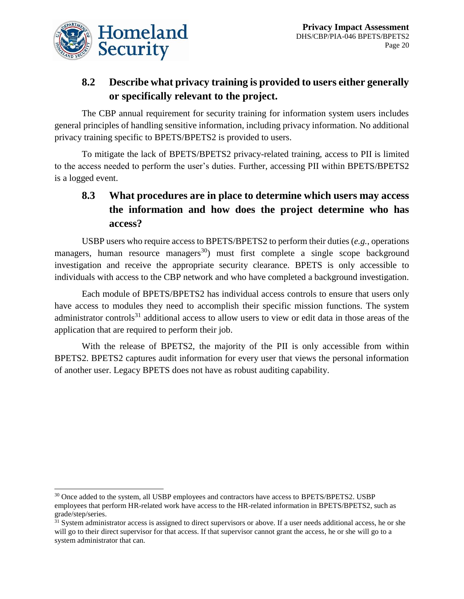

 $\overline{a}$ 

## **8.2 Describe what privacy training is provided to users either generally or specifically relevant to the project.**

The CBP annual requirement for security training for information system users includes general principles of handling sensitive information, including privacy information. No additional privacy training specific to BPETS/BPETS2 is provided to users.

To mitigate the lack of BPETS/BPETS2 privacy-related training, access to PII is limited to the access needed to perform the user's duties. Further, accessing PII within BPETS/BPETS2 is a logged event.

# **8.3 What procedures are in place to determine which users may access the information and how does the project determine who has access?**

USBP users who require access to BPETS/BPETS2 to perform their duties (*e.g.*, operations managers, human resource managers<sup>30</sup>) must first complete a single scope background investigation and receive the appropriate security clearance. BPETS is only accessible to individuals with access to the CBP network and who have completed a background investigation.

Each module of BPETS/BPETS2 has individual access controls to ensure that users only have access to modules they need to accomplish their specific mission functions. The system administrator controls<sup>31</sup> additional access to allow users to view or edit data in those areas of the application that are required to perform their job.

With the release of BPETS2, the majority of the PII is only accessible from within BPETS2. BPETS2 captures audit information for every user that views the personal information of another user. Legacy BPETS does not have as robust auditing capability.

<sup>&</sup>lt;sup>30</sup> Once added to the system, all USBP employees and contractors have access to BPETS/BPETS2. USBP employees that perform HR-related work have access to the HR-related information in BPETS/BPETS2, such as grade/step/series.

 $31$  System administrator access is assigned to direct supervisors or above. If a user needs additional access, he or she will go to their direct supervisor for that access. If that supervisor cannot grant the access, he or she will go to a system administrator that can.